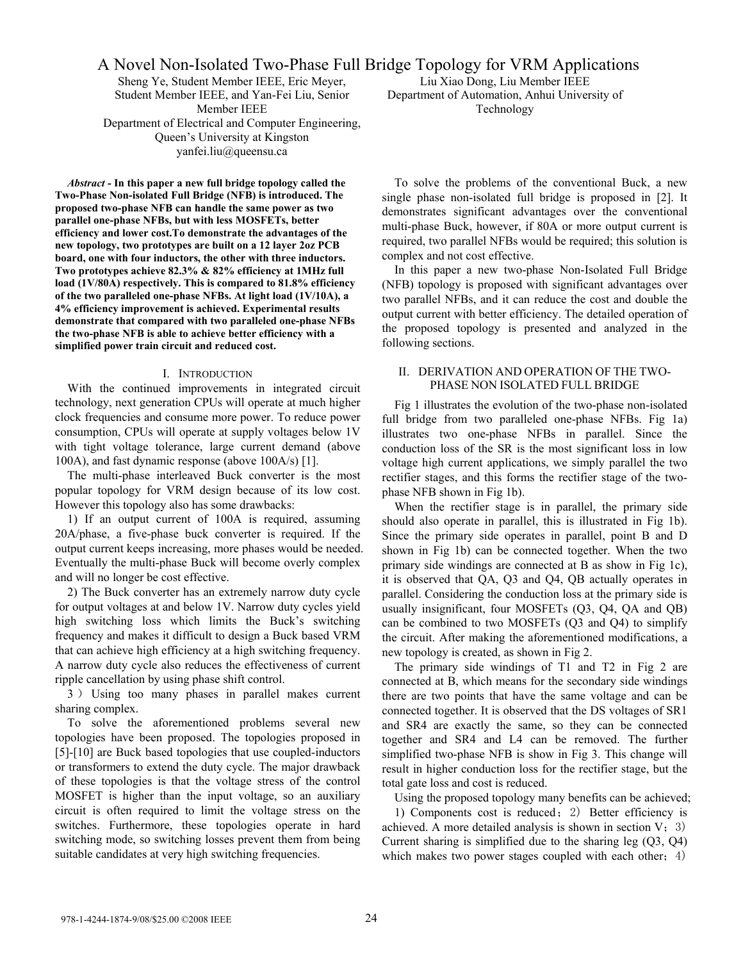A Novel Non-Isolated Two-Phase Full Bridge Topology for VRM Applications

Sheng Ye, Student Member IEEE, Eric Meyer, Student Member IEEE, and Yan-Fei Liu, Senior Member IEEE Department of Electrical and Computer Engineering, Queen's University at Kingston yanfei.liu@queensu.ca

*Abstract -* **In this paper a new full bridge topology called the Two-Phase Non-isolated Full Bridge (NFB) is introduced. The proposed two-phase NFB can handle the same power as two parallel one-phase NFBs, but with less MOSFETs, better efficiency and lower cost.To demonstrate the advantages of the new topology, two prototypes are built on a 12 layer 2oz PCB board, one with four inductors, the other with three inductors. Two prototypes achieve 82.3% & 82% efficiency at 1MHz full load (1V/80A) respectively. This is compared to 81.8% efficiency of the two paralleled one-phase NFBs. At light load (1V/10A), a 4% efficiency improvement is achieved. Experimental results demonstrate that compared with two paralleled one-phase NFBs the two-phase NFB is able to achieve better efficiency with a simplified power train circuit and reduced cost.** 

### I. INTRODUCTION

With the continued improvements in integrated circuit technology, next generation CPUs will operate at much higher clock frequencies and consume more power. To reduce power consumption, CPUs will operate at supply voltages below 1V with tight voltage tolerance, large current demand (above 100A), and fast dynamic response (above 100A/s) [1].

The multi-phase interleaved Buck converter is the most popular topology for VRM design because of its low cost. However this topology also has some drawbacks:

1) If an output current of 100A is required, assuming 20A/phase, a five-phase buck converter is required. If the output current keeps increasing, more phases would be needed. Eventually the multi-phase Buck will become overly complex and will no longer be cost effective.

2) The Buck converter has an extremely narrow duty cycle for output voltages at and below 1V. Narrow duty cycles yield high switching loss which limits the Buck's switching frequency and makes it difficult to design a Buck based VRM that can achieve high efficiency at a high switching frequency. A narrow duty cycle also reduces the effectiveness of current ripple cancellation by using phase shift control.

3 ) Using too many phases in parallel makes current sharing complex.

To solve the aforementioned problems several new topologies have been proposed. The topologies proposed in [5]-[10] are Buck based topologies that use coupled-inductors or transformers to extend the duty cycle. The major drawback of these topologies is that the voltage stress of the control MOSFET is higher than the input voltage, so an auxiliary circuit is often required to limit the voltage stress on the switches. Furthermore, these topologies operate in hard switching mode, so switching losses prevent them from being suitable candidates at very high switching frequencies.

Liu Xiao Dong, Liu Member IEEE Department of Automation, Anhui University of Technology

To solve the problems of the conventional Buck, a new single phase non-isolated full bridge is proposed in [2]. It demonstrates significant advantages over the conventional multi-phase Buck, however, if 80A or more output current is required, two parallel NFBs would be required; this solution is complex and not cost effective.

In this paper a new two-phase Non-Isolated Full Bridge (NFB) topology is proposed with significant advantages over two parallel NFBs, and it can reduce the cost and double the output current with better efficiency. The detailed operation of the proposed topology is presented and analyzed in the following sections.

# II. DERIVATION AND OPERATION OF THE TWO-PHASE NON ISOLATED FULL BRIDGE

Fig 1 illustrates the evolution of the two-phase non-isolated full bridge from two paralleled one-phase NFBs. Fig 1a) illustrates two one-phase NFBs in parallel. Since the conduction loss of the SR is the most significant loss in low voltage high current applications, we simply parallel the two rectifier stages, and this forms the rectifier stage of the twophase NFB shown in Fig 1b).

When the rectifier stage is in parallel, the primary side should also operate in parallel, this is illustrated in Fig 1b). Since the primary side operates in parallel, point B and D shown in Fig 1b) can be connected together. When the two primary side windings are connected at B as show in Fig 1c), it is observed that QA, Q3 and Q4, QB actually operates in parallel. Considering the conduction loss at the primary side is usually insignificant, four MOSFETs (Q3, Q4, QA and QB) can be combined to two MOSFETs (Q3 and Q4) to simplify the circuit. After making the aforementioned modifications, a new topology is created, as shown in Fig 2.

The primary side windings of T1 and T2 in Fig 2 are connected at B, which means for the secondary side windings there are two points that have the same voltage and can be connected together. It is observed that the DS voltages of SR1 and SR4 are exactly the same, so they can be connected together and SR4 and L4 can be removed. The further simplified two-phase NFB is show in Fig 3. This change will result in higher conduction loss for the rectifier stage, but the total gate loss and cost is reduced.

Using the proposed topology many benefits can be achieved; 1) Components cost is reduced;2) Better efficiency is achieved. A more detailed analysis is shown in section  $V$ ; 3) Current sharing is simplified due to the sharing leg (Q3, Q4) which makes two power stages coupled with each other;  $4)$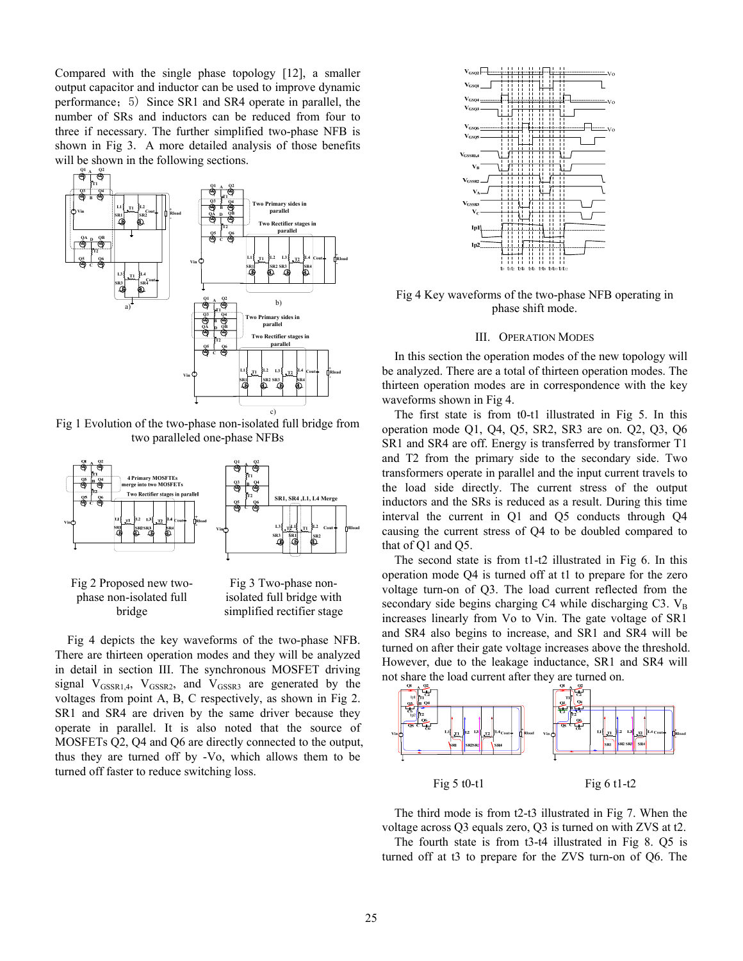Compared with the single phase topology [12], a smaller output capacitor and inductor can be used to improve dynamic performance;5) Since SR1 and SR4 operate in parallel, the number of SRs and inductors can be reduced from four to three if necessary. The further simplified two-phase NFB is shown in Fig 3. A more detailed analysis of those benefits will be shown in the following sections.

**Q1 Q2**



Fig 1 Evolution of the two-phase non-isolated full bridge from two paralleled one-phase NFBs





Fig 3 Two-phase nonisolated full bridge with simplified rectifier stage

Fig 4 depicts the key waveforms of the two-phase NFB. There are thirteen operation modes and they will be analyzed in detail in section III. The synchronous MOSFET driving signal  $V_{GSSR1,4}$ ,  $V_{GSSR2}$ , and  $V_{GSSR3}$  are generated by the voltages from point A, B, C respectively, as shown in Fig 2. SR1 and SR4 are driven by the same driver because they operate in parallel. It is also noted that the source of MOSFETs Q2, Q4 and Q6 are directly connected to the output, thus they are turned off by -Vo, which allows them to be turned off faster to reduce switching loss.



Fig 4 Key waveforms of the two-phase NFB operating in phase shift mode.

#### III. OPERATION MODES

In this section the operation modes of the new topology will be analyzed. There are a total of thirteen operation modes. The thirteen operation modes are in correspondence with the key waveforms shown in Fig 4.

The first state is from t0-t1 illustrated in Fig 5. In this operation mode Q1, Q4, Q5, SR2, SR3 are on. Q2, Q3, Q6 SR1 and SR4 are off. Energy is transferred by transformer T1 and T2 from the primary side to the secondary side. Two transformers operate in parallel and the input current travels to the load side directly. The current stress of the output inductors and the SRs is reduced as a result. During this time interval the current in Q1 and Q5 conducts through Q4 causing the current stress of Q4 to be doubled compared to that of Q1 and Q5.

The second state is from t1-t2 illustrated in Fig 6. In this operation mode Q4 is turned off at t1 to prepare for the zero voltage turn-on of Q3. The load current reflected from the secondary side begins charging C4 while discharging C3. VB increases linearly from Vo to Vin. The gate voltage of SR1 and SR4 also begins to increase, and SR1 and SR4 will be turned on after their gate voltage increases above the threshold. However, due to the leakage inductance, SR1 and SR4 will not share the load current after they are turned on.



The third mode is from t2-t3 illustrated in Fig 7. When the voltage across Q3 equals zero, Q3 is turned on with ZVS at t2.

The fourth state is from t3-t4 illustrated in Fig 8. Q5 is turned off at t3 to prepare for the ZVS turn-on of Q6. The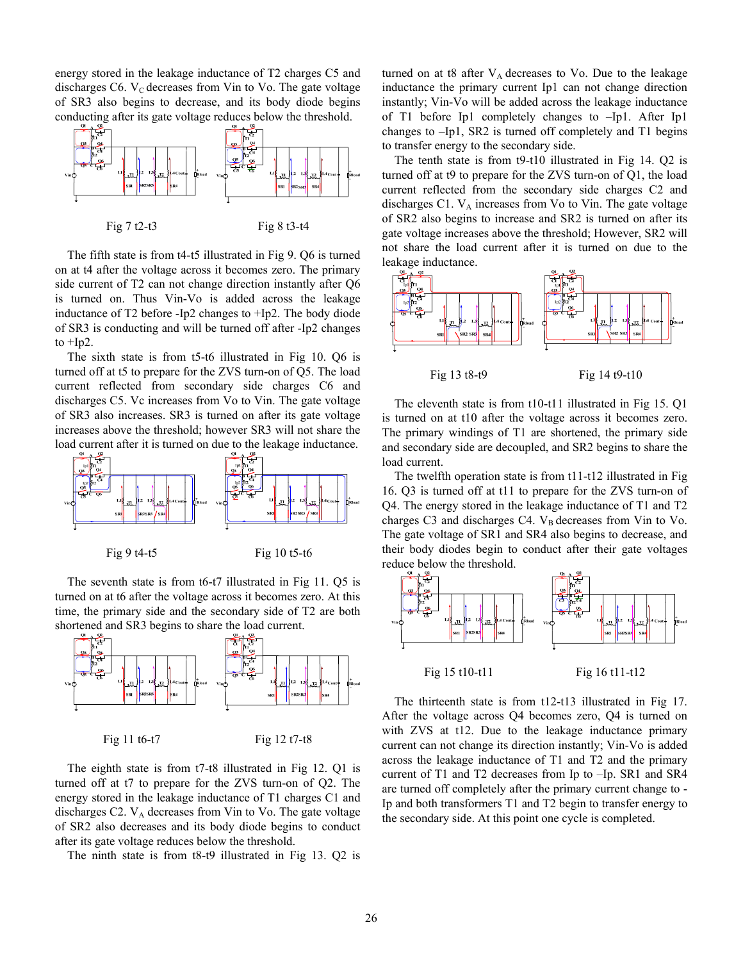energy stored in the leakage inductance of T2 charges C5 and discharges C6.  $V_C$  decreases from Vin to Vo. The gate voltage of SR3 also begins to decrease, and its body diode begins conducting after its gate voltage reduces below the threshold.



The fifth state is from t4-t5 illustrated in Fig 9. Q6 is turned on at t4 after the voltage across it becomes zero. The primary side current of T2 can not change direction instantly after Q6 is turned on. Thus Vin-Vo is added across the leakage inductance of T2 before -Ip2 changes to +Ip2. The body diode of SR3 is conducting and will be turned off after -Ip2 changes to  $+$ Ip2.

The sixth state is from t5-t6 illustrated in Fig 10. Q6 is turned off at t5 to prepare for the ZVS turn-on of Q5. The load current reflected from secondary side charges C6 and discharges C5. Vc increases from Vo to Vin. The gate voltage of SR3 also increases. SR3 is turned on after its gate voltage increases above the threshold; however SR3 will not share the load current after it is turned on due to the leakage inductance.



The seventh state is from t6-t7 illustrated in Fig 11. Q5 is turned on at t6 after the voltage across it becomes zero. At this time, the primary side and the secondary side of T2 are both shortened and SR3 begins to share the load current.



The eighth state is from t7-t8 illustrated in Fig 12. Q1 is turned off at t7 to prepare for the ZVS turn-on of Q2. The energy stored in the leakage inductance of T1 charges C1 and discharges C2.  $V_A$  decreases from Vin to Vo. The gate voltage of SR2 also decreases and its body diode begins to conduct after its gate voltage reduces below the threshold.

The ninth state is from t8-t9 illustrated in Fig 13. Q2 is

turned on at t8 after  $V_A$  decreases to Vo. Due to the leakage inductance the primary current Ip1 can not change direction instantly; Vin-Vo will be added across the leakage inductance of T1 before Ip1 completely changes to –Ip1. After Ip1 changes to –Ip1, SR2 is turned off completely and T1 begins to transfer energy to the secondary side.

The tenth state is from t9-t10 illustrated in Fig 14. Q2 is turned off at t9 to prepare for the ZVS turn-on of Q1, the load current reflected from the secondary side charges C2 and discharges C1.  $V_A$  increases from Vo to Vin. The gate voltage of SR2 also begins to increase and SR2 is turned on after its gate voltage increases above the threshold; However, SR2 will not share the load current after it is turned on due to the leakage inductance.



The eleventh state is from t10-t11 illustrated in Fig 15. Q1 is turned on at t10 after the voltage across it becomes zero. The primary windings of T1 are shortened, the primary side and secondary side are decoupled, and SR2 begins to share the load current.

The twelfth operation state is from t11-t12 illustrated in Fig 16. Q3 is turned off at t11 to prepare for the ZVS turn-on of Q4. The energy stored in the leakage inductance of T1 and T2 charges C3 and discharges C4.  $V_B$  decreases from Vin to Vo. The gate voltage of SR1 and SR4 also begins to decrease, and their body diodes begin to conduct after their gate voltages reduce below the threshold.



The thirteenth state is from t12-t13 illustrated in Fig 17. After the voltage across Q4 becomes zero, Q4 is turned on with ZVS at t12. Due to the leakage inductance primary current can not change its direction instantly; Vin-Vo is added across the leakage inductance of T1 and T2 and the primary current of T1 and T2 decreases from Ip to –Ip. SR1 and SR4 are turned off completely after the primary current change to - Ip and both transformers T1 and T2 begin to transfer energy to the secondary side. At this point one cycle is completed.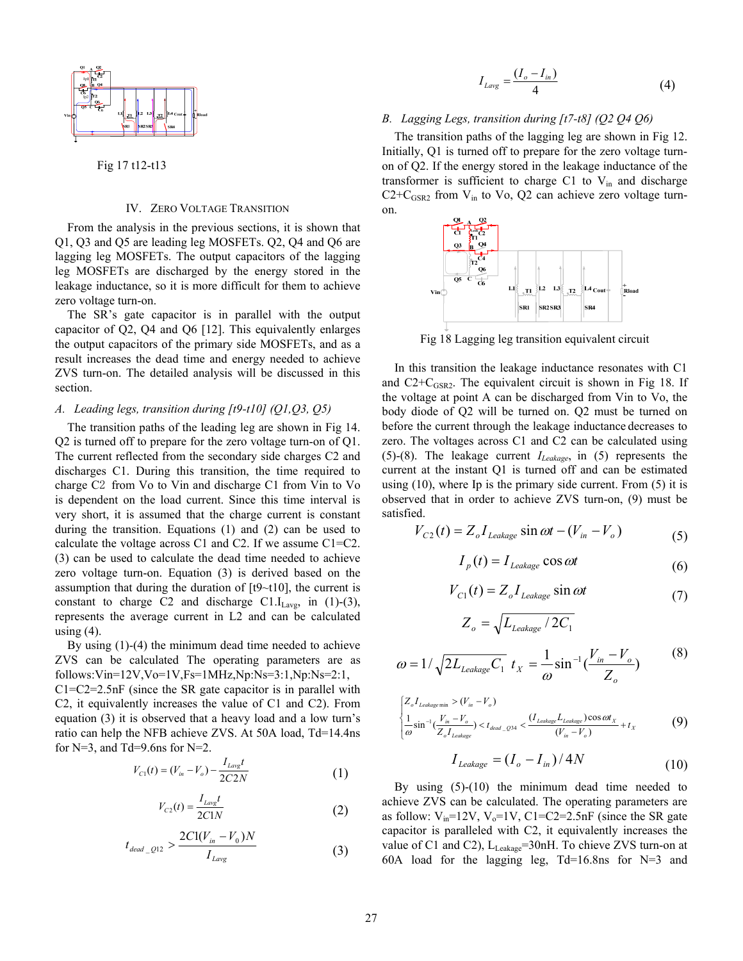

Fig 17 t12-t13

### IV. ZERO VOLTAGE TRANSITION

From the analysis in the previous sections, it is shown that Q1, Q3 and Q5 are leading leg MOSFETs. Q2, Q4 and Q6 are lagging leg MOSFETs. The output capacitors of the lagging leg MOSFETs are discharged by the energy stored in the leakage inductance, so it is more difficult for them to achieve zero voltage turn-on.

The SR's gate capacitor is in parallel with the output capacitor of Q2, Q4 and Q6 [12]. This equivalently enlarges the output capacitors of the primary side MOSFETs, and as a result increases the dead time and energy needed to achieve ZVS turn-on. The detailed analysis will be discussed in this section.

#### *A. Leading legs, transition during [t9-t10] (Q1,Q3, Q5)*

The transition paths of the leading leg are shown in Fig 14. Q2 is turned off to prepare for the zero voltage turn-on of Q1. The current reflected from the secondary side charges C2 and discharges C1. During this transition, the time required to charge C2 from Vo to Vin and discharge C1 from Vin to Vo is dependent on the load current. Since this time interval is very short, it is assumed that the charge current is constant during the transition. Equations (1) and (2) can be used to calculate the voltage across C1 and C2. If we assume C1=C2. (3) can be used to calculate the dead time needed to achieve zero voltage turn-on. Equation (3) is derived based on the assumption that during the duration of  $[t9 \sim t10]$ , the current is constant to charge C2 and discharge C1. $I_{\text{Lavg}}$ , in (1)-(3), represents the average current in L2 and can be calculated using  $(4)$ .

By using (1)-(4) the minimum dead time needed to achieve ZVS can be calculated The operating parameters are as follows:Vin=12V,Vo=1V,Fs=1MHz,Np:Ns=3:1,Np:Ns=2:1, C1=C2=2.5nF (since the SR gate capacitor is in parallel with C2, it equivalently increases the value of C1 and C2). From equation (3) it is observed that a heavy load and a low turn's ratio can help the NFB achieve ZVS. At 50A load, Td=14.4ns for  $N=3$ , and Td=9.6ns for  $N=2$ .

$$
V_{C1}(t) = (V_{in} - V_o) - \frac{I_{Lavg}t}{2C2N}
$$
 (1)

$$
V_{C2}(t) = \frac{I_{Lavg}t}{2C1N}
$$
 (2)

$$
t_{dead\_Q12} > \frac{2C1(V_{in} - V_0)N}{I_{Lavg}}
$$
 (3)

$$
I_{Lavg} = \frac{(I_o - I_{in})}{4} \tag{4}
$$

### *B. Lagging Legs, transition during [t7-t8] (Q2 Q4 Q6)*

The transition paths of the lagging leg are shown in Fig 12. Initially, Q1 is turned off to prepare for the zero voltage turnon of Q2. If the energy stored in the leakage inductance of the transformer is sufficient to charge C1 to  $V_{in}$  and discharge  $C2+C_{GSR2}$  from  $V<sub>in</sub>$  to Vo, Q2 can achieve zero voltage turnon.



Fig 18 Lagging leg transition equivalent circuit

In this transition the leakage inductance resonates with C1 and  $C2+C_{GSR2}$ . The equivalent circuit is shown in Fig 18. If the voltage at point A can be discharged from Vin to Vo, the body diode of Q2 will be turned on. Q2 must be turned on before the current through the leakage inductance decreases to zero. The voltages across C1 and C2 can be calculated using (5)-(8). The leakage current *ILeakage*, in (5) represents the current at the instant Q1 is turned off and can be estimated using (10), where Ip is the primary side current. From (5) it is observed that in order to achieve ZVS turn-on, (9) must be satisfied.

$$
V_{C2}(t) = Z_o I_{\text{Leakage}} \sin \omega t - (V_{in} - V_o) \tag{5}
$$

$$
I_p(t) = I_{\text{Leakage}} \cos \omega t \tag{6}
$$

$$
V_{C1}(t) = Z_o I_{\text{Leakage}} \sin \omega t \tag{7}
$$

$$
Z_o = \sqrt{L_{\text{Leakage}}/2C_1}
$$

$$
\omega = 1/\sqrt{2L_{Leakage}C_1} \ t_X = \frac{1}{\omega} \sin^{-1} \left(\frac{V_{in} - V_o}{Z_o}\right) \tag{8}
$$

$$
\begin{cases} Z_o I_{Leakage\min} > (V_{in} - V_o) \\ \frac{1}{\omega} \sin^{-1} \left( \frac{V_{in} - V_o}{Z_o I_{Leakage}} \right) < t_{dead} - 0.94 \\ \frac{1}{\omega} \sin^{-1} \left( \frac{V_{in} - V_o}{Z_o I_{Leakage}} \right) < t_{dead} - 0.94 \end{cases} < \frac{(I_{Leakage} L_{Leakage}) \cos \omega t_x}{(V_{in} - V_o)} + t_x \tag{9}
$$

$$
I_{\text{Leakage}} = (I_o - I_{\text{in}}) / 4N \tag{10}
$$

By using (5)-(10) the minimum dead time needed to achieve ZVS can be calculated. The operating parameters are as follow:  $V_{in}$ =12V,  $V_0$ =1V, C1=C2=2.5nF (since the SR gate capacitor is paralleled with C2, it equivalently increases the value of C1 and C2),  $L_{Leakage} = 30nH$ . To chieve ZVS turn-on at 60A load for the lagging leg, Td=16.8ns for N=3 and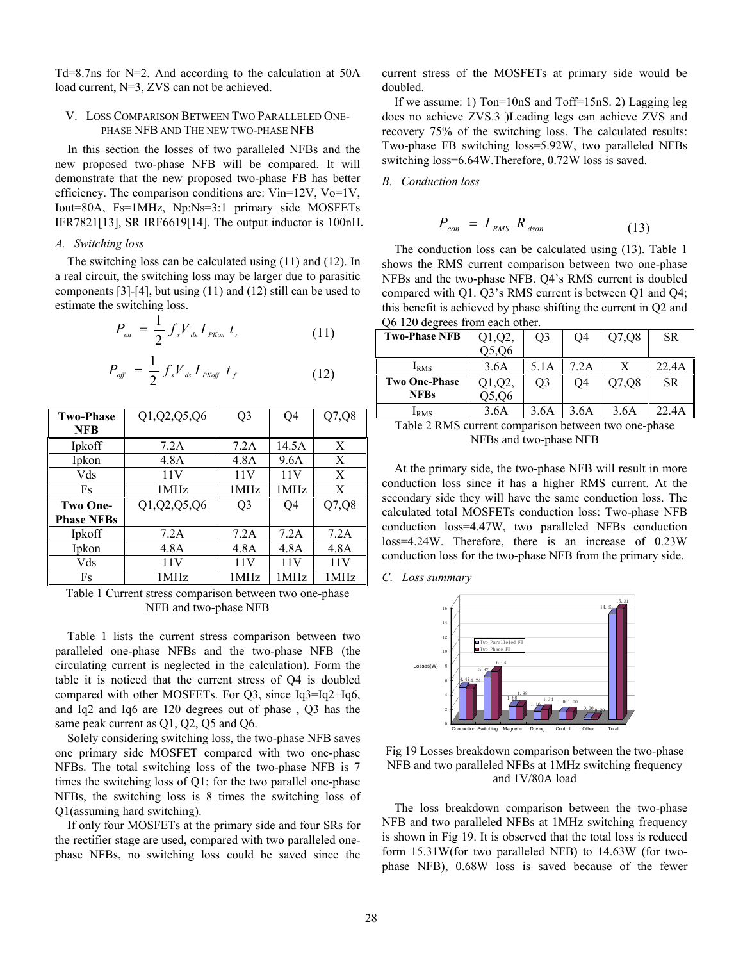Td=8.7ns for N=2. And according to the calculation at 50A load current, N=3, ZVS can not be achieved.

## V. LOSS COMPARISON BETWEEN TWO PARALLELED ONE-PHASE NFB AND THE NEW TWO-PHASE NFB

In this section the losses of two paralleled NFBs and the new proposed two-phase NFB will be compared. It will demonstrate that the new proposed two-phase FB has better efficiency. The comparison conditions are: Vin=12V, Vo=1V, Iout=80A, Fs=1MHz, Np:Ns=3:1 primary side MOSFETs IFR7821[13], SR IRF6619[14]. The output inductor is 100nH.

# *A. Switching loss*

The switching loss can be calculated using (11) and (12). In a real circuit, the switching loss may be larger due to parasitic components [3]-[4], but using (11) and (12) still can be used to estimate the switching loss.

$$
P_{on} = \frac{1}{2} f_s V_{ds} I_{PKon} t_r
$$
 (11)

$$
P_{\text{off}} = \frac{1}{2} f_s V_{ds} I_{\text{PKoff}} t_f \tag{12}
$$

| <b>Two-Phase</b>  | Q1, Q2, Q5, Q6 | Q3             | Q4              | Q7,Q8 |
|-------------------|----------------|----------------|-----------------|-------|
| <b>NFB</b>        |                |                |                 |       |
| Ipkoff            | 7.2A           | 7.2A           | 14.5A           | X     |
| Ipkon             | 4.8A           | 4.8A           | 9.6A            | X     |
| Vds               | 11V            | 11V            | 11V             | X     |
| Fs                | 1MHz           | 1MHz           | 1MHz            | X     |
|                   |                |                |                 |       |
| <b>Two One-</b>   | Q1, Q2, Q5, Q6 | Q <sub>3</sub> | Q4              | Q7,Q8 |
| <b>Phase NFBs</b> |                |                |                 |       |
| Ipkoff            | 7.2A           | 7.2A           | 7.2A            | 7.2A  |
| Ipkon             | 4.8A           | 4.8A           | 4.8A            | 4.8A  |
| Vds               | 11V            | 11V            | 11 <sub>V</sub> | 11V   |

Table 1 Current stress comparison between two one-phase NFB and two-phase NFB

Table 1 lists the current stress comparison between two paralleled one-phase NFBs and the two-phase NFB (the circulating current is neglected in the calculation). Form the table it is noticed that the current stress of Q4 is doubled compared with other MOSFETs. For Q3, since Iq3=Iq2+Iq6, and Iq2 and Iq6 are 120 degrees out of phase , Q3 has the same peak current as Q1, Q2, Q5 and Q6.

Solely considering switching loss, the two-phase NFB saves one primary side MOSFET compared with two one-phase NFBs. The total switching loss of the two-phase NFB is 7 times the switching loss of Q1; for the two parallel one-phase NFBs, the switching loss is 8 times the switching loss of Q1(assuming hard switching).

If only four MOSFETs at the primary side and four SRs for the rectifier stage are used, compared with two paralleled onephase NFBs, no switching loss could be saved since the current stress of the MOSFETs at primary side would be doubled.

If we assume: 1) Ton=10nS and Toff=15nS. 2) Lagging leg does no achieve ZVS.3 )Leading legs can achieve ZVS and recovery 75% of the switching loss. The calculated results: Two-phase FB switching loss=5.92W, two paralleled NFBs switching loss=6.64W.Therefore, 0.72W loss is saved.

*B. Conduction loss* 

$$
P_{con} = I_{RMS} R_{dson} \tag{13}
$$

The conduction loss can be calculated using (13). Table 1 shows the RMS current comparison between two one-phase NFBs and the two-phase NFB. Q4's RMS current is doubled compared with Q1. Q3's RMS current is between Q1 and Q4; this benefit is achieved by phase shifting the current in Q2 and Q6 120 degrees from each other.

| <b>Two-Phase NFB</b> | $Q1,Q2$ , | O3             | O4   | Q7,Q8 | SR.   |
|----------------------|-----------|----------------|------|-------|-------|
|                      | Q5,06     |                |      |       |       |
| I <sub>RMS</sub>     | 3.6A      | 5.1A           | 7.2A |       | 22.4A |
| Two One-Phase        | $Q1,Q2$ , | O <sub>3</sub> | O4   | Q7,Q8 | SR.   |
| <b>NFBs</b>          | Q5,Q6     |                |      |       |       |
| <sup>L</sup> RMS     | 3.6A      | 3.6A           | 3.6A | 3.6A  | 22.4A |

Table 2 RMS current comparison between two one-phase NFBs and two-phase NFB

At the primary side, the two-phase NFB will result in more conduction loss since it has a higher RMS current. At the secondary side they will have the same conduction loss. The calculated total MOSFETs conduction loss: Two-phase NFB conduction loss=4.47W, two paralleled NFBs conduction loss=4.24W. Therefore, there is an increase of 0.23W conduction loss for the two-phase NFB from the primary side.

*C. Loss summary* 



Fig 19 Losses breakdown comparison between the two-phase NFB and two paralleled NFBs at 1MHz switching frequency and 1V/80A load

The loss breakdown comparison between the two-phase NFB and two paralleled NFBs at 1MHz switching frequency is shown in Fig 19. It is observed that the total loss is reduced form 15.31W(for two paralleled NFB) to 14.63W (for twophase NFB), 0.68W loss is saved because of the fewer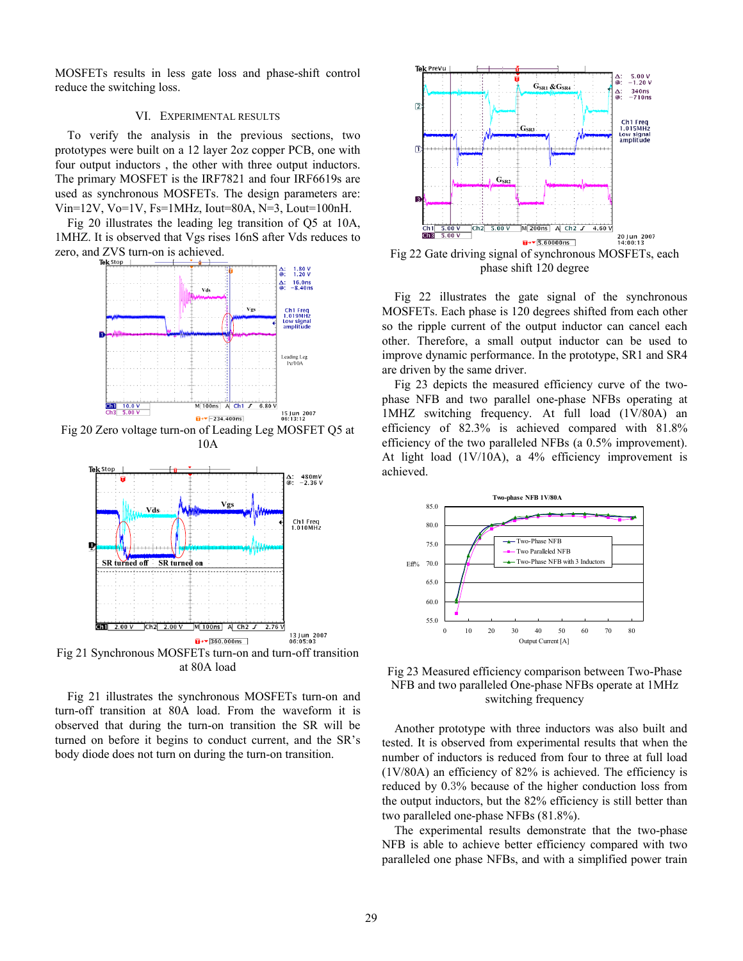MOSFETs results in less gate loss and phase-shift control reduce the switching loss.

# VI. EXPERIMENTAL RESULTS

To verify the analysis in the previous sections, two prototypes were built on a 12 layer 2oz copper PCB, one with four output inductors , the other with three output inductors. The primary MOSFET is the IRF7821 and four IRF6619s are used as synchronous MOSFETs. The design parameters are:  $Vi$ n=12V, Vo=1V, Fs=1MHz, Iout=80A, N=3, Lout=100nH.

Fig 20 illustrates the leading leg transition of Q5 at 10A, 1MHZ. It is observed that Vgs rises 16nS after Vds reduces to zero, and ZVS turn-on is achieved.



Fig 20 Zero voltage turn-on of Leading Leg MOSFET Q5 at 10A



Fig 21 Synchronous MOSFETs turn-on and turn-off transition at 80A load

Fig 21 illustrates the synchronous MOSFETs turn-on and turn-off transition at 80A load. From the waveform it is observed that during the turn-on transition the SR will be turned on before it begins to conduct current, and the SR's body diode does not turn on during the turn-on transition.



Fig 22 Gate driving signal of synchronous MOSFETs, each phase shift 120 degree

Fig 22 illustrates the gate signal of the synchronous MOSFETs. Each phase is 120 degrees shifted from each other so the ripple current of the output inductor can cancel each other. Therefore, a small output inductor can be used to improve dynamic performance. In the prototype, SR1 and SR4 are driven by the same driver.

Fig 23 depicts the measured efficiency curve of the twophase NFB and two parallel one-phase NFBs operating at 1MHZ switching frequency. At full load (1V/80A) an efficiency of 82.3% is achieved compared with 81.8% efficiency of the two paralleled NFBs (a 0.5% improvement). At light load  $(1V/10A)$ , a 4% efficiency improvement is achieved.



Fig 23 Measured efficiency comparison between Two-Phase NFB and two paralleled One-phase NFBs operate at 1MHz switching frequency

Another prototype with three inductors was also built and tested. It is observed from experimental results that when the number of inductors is reduced from four to three at full load (1V/80A) an efficiency of 82% is achieved. The efficiency is reduced by 0.3% because of the higher conduction loss from the output inductors, but the 82% efficiency is still better than two paralleled one-phase NFBs (81.8%).

The experimental results demonstrate that the two-phase NFB is able to achieve better efficiency compared with two paralleled one phase NFBs, and with a simplified power train